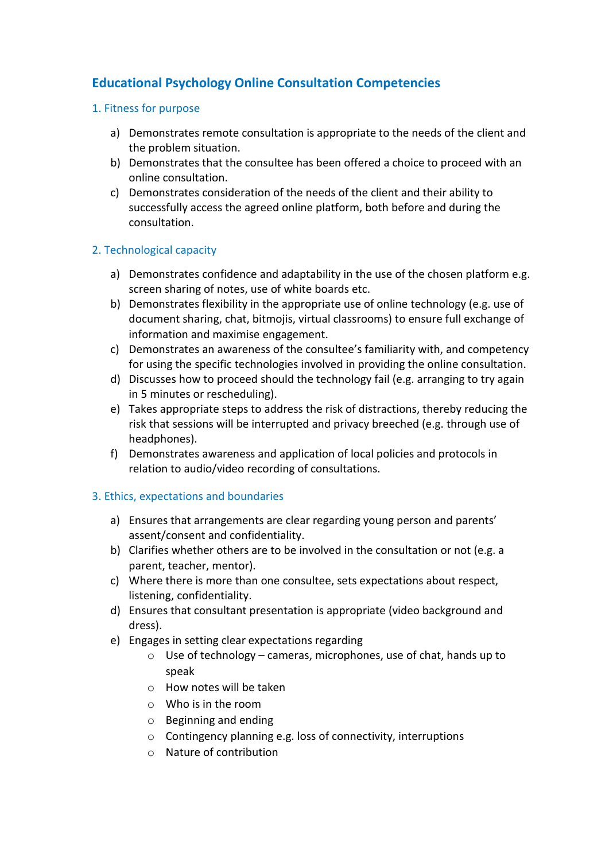# **Educational Psychology Online Consultation Competencies**

## 1. Fitness for purpose

- a) Demonstrates remote consultation is appropriate to the needs of the client and the problem situation.
- b) Demonstrates that the consultee has been offered a choice to proceed with an online consultation.
- c) Demonstrates consideration of the needs of the client and their ability to successfully access the agreed online platform, both before and during the consultation.

### 2. Technological capacity

- a) Demonstrates confidence and adaptability in the use of the chosen platform e.g. screen sharing of notes, use of white boards etc.
- b) Demonstrates flexibility in the appropriate use of online technology (e.g. use of document sharing, chat, bitmojis, virtual classrooms) to ensure full exchange of information and maximise engagement.
- c) Demonstrates an awareness of the consultee's familiarity with, and competency for using the specific technologies involved in providing the online consultation.
- d) Discusses how to proceed should the technology fail (e.g. arranging to try again in 5 minutes or rescheduling).
- e) Takes appropriate steps to address the risk of distractions, thereby reducing the risk that sessions will be interrupted and privacy breeched (e.g. through use of headphones).
- f) Demonstrates awareness and application of local policies and protocols in relation to audio/video recording of consultations.

### 3. Ethics, expectations and boundaries

- a) Ensures that arrangements are clear regarding young person and parents' assent/consent and confidentiality.
- b) Clarifies whether others are to be involved in the consultation or not (e.g. a parent, teacher, mentor).
- c) Where there is more than one consultee, sets expectations about respect, listening, confidentiality.
- d) Ensures that consultant presentation is appropriate (video background and dress).
- e) Engages in setting clear expectations regarding
	- $\circ$  Use of technology cameras, microphones, use of chat, hands up to speak
	- o How notes will be taken
	- o Who is in the room
	- o Beginning and ending
	- o Contingency planning e.g. loss of connectivity, interruptions
	- o Nature of contribution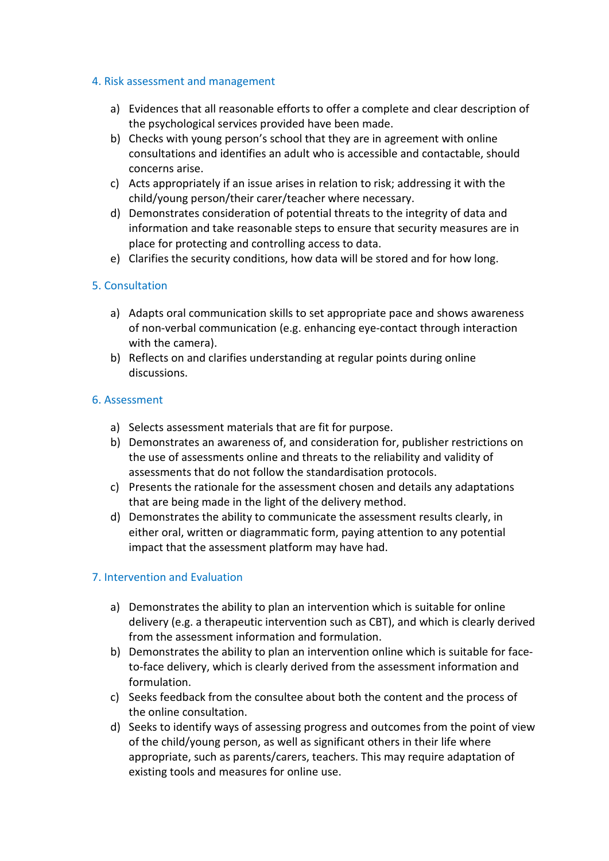#### 4. Risk assessment and management

- a) Evidences that all reasonable efforts to offer a complete and clear description of the psychological services provided have been made.
- b) Checks with young person's school that they are in agreement with online consultations and identifies an adult who is accessible and contactable, should concerns arise.
- c) Acts appropriately if an issue arises in relation to risk; addressing it with the child/young person/their carer/teacher where necessary.
- d) Demonstrates consideration of potential threats to the integrity of data and information and take reasonable steps to ensure that security measures are in place for protecting and controlling access to data.
- e) Clarifies the security conditions, how data will be stored and for how long.

#### 5. Consultation

- a) Adapts oral communication skills to set appropriate pace and shows awareness of non-verbal communication (e.g. enhancing eye-contact through interaction with the camera).
- b) Reflects on and clarifies understanding at regular points during online discussions.

#### 6. Assessment

- a) Selects assessment materials that are fit for purpose.
- b) Demonstrates an awareness of, and consideration for, publisher restrictions on the use of assessments online and threats to the reliability and validity of assessments that do not follow the standardisation protocols.
- c) Presents the rationale for the assessment chosen and details any adaptations that are being made in the light of the delivery method.
- d) Demonstrates the ability to communicate the assessment results clearly, in either oral, written or diagrammatic form, paying attention to any potential impact that the assessment platform may have had.

#### 7. Intervention and Evaluation

- a) Demonstrates the ability to plan an intervention which is suitable for online delivery (e.g. a therapeutic intervention such as CBT), and which is clearly derived from the assessment information and formulation.
- b) Demonstrates the ability to plan an intervention online which is suitable for faceto-face delivery, which is clearly derived from the assessment information and formulation.
- c) Seeks feedback from the consultee about both the content and the process of the online consultation.
- d) Seeks to identify ways of assessing progress and outcomes from the point of view of the child/young person, as well as significant others in their life where appropriate, such as parents/carers, teachers. This may require adaptation of existing tools and measures for online use.